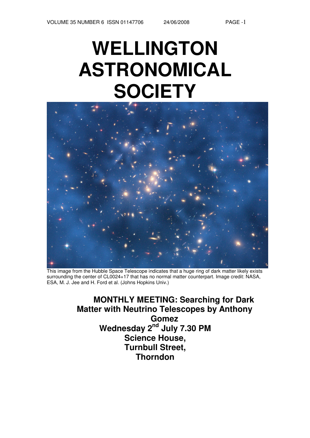# **WELLINGTON ASTRONOMICAL SOCIETY**



This image from the Hubble Space Telescope indicates that a huge ring of dark matter likely exists surrounding the center of CL0024+17 that has no normal matter counterpart. Image credit: NASA, ESA, M. J. Jee and H. Ford et al. (Johns Hopkins Univ.)

**MONTHLY MEETING: Searching for Dark Matter with Neutrino Telescopes by Anthony Gomez Wednesday 2 nd July 7.30 PM Science House, Turnbull Street, Thorndon**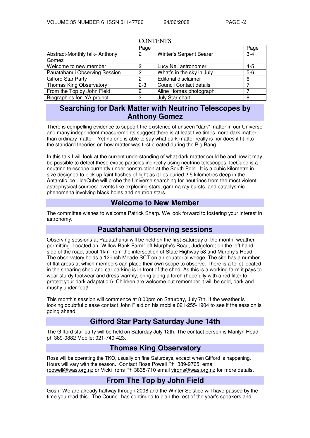|                                | Page           |                                | Page    |  |  |  |  |
|--------------------------------|----------------|--------------------------------|---------|--|--|--|--|
| Abstract-Monthly talk-Anthony  | $\overline{2}$ | Winter's Serpent Bearer        | $3 - 4$ |  |  |  |  |
| Gomez                          |                |                                |         |  |  |  |  |
| Welcome to new member          | 2              | Lucy Nell astronomer           | $4 - 5$ |  |  |  |  |
| Pauatahanui Observing Session  | 2              | What's in the sky in July      | $5-6$   |  |  |  |  |
| <b>Gifford Star Party</b>      | 2              | Editorial disclaimer           | 6       |  |  |  |  |
| <b>Thomas King Observatory</b> | $2 - 3$        | <b>Council Contact details</b> |         |  |  |  |  |
| From the Top by John Field     | 2              | Aline Homes photograph         |         |  |  |  |  |
| Biographies for IYA project    | 3              | July Star chart                | 8       |  |  |  |  |

#### **CONTENTS**

# **Searching for Dark Matter with Neutrino Telescopes by Anthony Gomez**

There is compelling evidence to support the existence of unseen "dark" matter in our Universe and many independent measurements suggest there is at least five times more dark matter than ordinary matter. Yet no one is able to say what dark matter really is nor does it fit into the standard theories on how matter was first created during the Big Bang.

In this talk I will look at the current understanding of what dark matter could be and how it may be possible to detect these exotic particles indirectly using neutrino telescopes. IceCube is a neutrino telescope currently under construction at the South Pole. It is a cubic kilometre in size designed to pick up faint flashes of light as it lies buried 2.5 kilometres deep in the Antarctic ice. IceCube will probe the Universe searching for neutrinos from the most violent astrophysical sources: events like exploding stars, gamma ray bursts, and cataclysmic phenomena involving black holes and neutron stars.

# **Welcome to New Member**

The committee wishes to welcome Patrick Sharp. We look forward to fostering your interest in astronomy.

## **Pauatahanui Observing sessions**

Observing sessions at Pauatahanui will be held on the first Saturday of the month, weather permitting. Located on "Willow Bank Farm" off Murphy's Road, Judgeford; on the left hand side of the road, about 1km from the intersection of State Highway 58 and Murphy's Road. The observatory holds a 12-inch Meade SCT on an equatorial wedge. The site has a number of flat areas at which members can place their own scope to observe. There is a toilet located in the shearing shed and car parking is in front of the shed. As this is a working farm it pays to wear sturdy footwear and dress warmly, bring along a torch (hopefully with a red filter to protect your dark adaptation). Children are welcome but remember it will be cold, dark and mushy under foot!

This month's session will commence at 8:00pm on Saturday, July 7th. If the weather is looking doubtful please contact John Field on his mobile 021-255-1904 to see if the session is going ahead.

# **Gifford Star Party Saturday June 14th**

The Gifford star party will be held on Saturday July 12th. The contact person is Marilyn Head ph 389-0882 Mobile: 021-740-423.

# **Thomas King Observatory**

Ross will be operating the TKO, usually on fine Saturdays, except when Gifford is happening. Hours will vary with the season. Contact Ross Powell Ph 389-9765, email rpowell@was.org.nz or Vicki Irons Ph 3838-710 email virons@was.org.nz for more details.

# **From The Top by John Field**

Gosh! We are already halfway through 2008 and the Winter Solstice will have passed by the time you read this. The Council has continued to plan the rest of the year's speakers and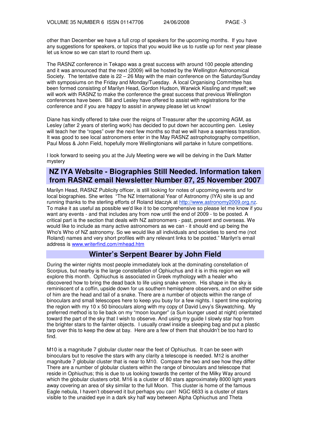other than December we have a full crop of speakers for the upcoming months. If you have any suggestions for speakers, or topics that you would like us to rustle up for next year please let us know so we can start to round them up.

The RASNZ conference in Tekapo was a great success with around 100 people attending and it was announced that the next (2009) will be hosted by the Wellington Astronomical Society. The tentative date is 22 – 26 May with the main conference on the Saturday/Sunday with symposiums on the Friday and Monday/Tuesday. A local Organising Committee has been formed consisting of Marilyn Head, Gordon Hudson, Warwick Kissling and myself; we will work with RASNZ to make the conference the great success that previous Wellington conferences have been. Bill and Lesley have offered to assist with registrations for the conference and if you are happy to assist in anyway please let us know!

Diane has kindly offered to take over the reigns of Treasurer after the upcoming AGM, as Lesley (after 2 years of sterling work) has decided to put down her accounting pen. Lesley will teach her the "ropes" over the next few months so that we will have a seamless transition. It was good to see local astronomers enter in the May RASNZ astrophotography competition, Paul Moss & John Field, hopefully more Wellingtonians will partake in future competitions.

I look forward to seeing you at the July Meeting were we will be delving in the Dark Matter mystery

# **NZ IYA Website - Biographies Still Needed. Information taken from RASNZ email Newsletter Number 87, 25 November 2007**

Marilyn Head, RASNZ Publicity officer, is still looking for notes of upcoming events and for local biographies. She writes "The NZ International Year of Astronomy (IYA) site is up and running thanks to the sterling efforts of Roland Idaczyk at http://www.astronomy2009.org.nz. To make it as useful as possible we'd like it to be comprehensive so please let me know if you want any events - and that includes any from now until the end of 2009 - to be posted. A critical part is the section that deals with NZ astronomers - past, present and overseas. We would like to include as many active astronomers as we can - it should end up being the Who's Who of NZ astronomy. So we would like all individuals and societies to send me (not Roland) names and very short profiles with any relevant links to be posted." Marilyn's email address is www.writerfind.com/mhead.htm

## **Winter's Serpent Bearer by John Field**

During the winter nights most people immediately look at the dominating constellation of Scorpius, but nearby is the large constellation of Ophiuchus and it is in this region we will explore this month. Ophiuchus is associated in Greek mythology with a healer who discovered how to bring the dead back to life using snake venom. His shape in the sky is reminiscent of a coffin, upside down for us southern hemisphere observers, and on either side of him are the head and tail of a snake. There are a number of objects within the range of binoculars and small telescopes here to keep you busy for a few nights. I spent time exploring the region with my 10 x 50 binoculars along with my copy of David Levy's Skywatching. My preferred method is to lie back on my "moon lounger" (a Sun lounger used at night) orientated toward the part of the sky that I wish to observe. And using my guide I slowly star hop from the brighter stars to the fainter objects. I usually crawl inside a sleeping bag and put a plastic tarp over this to keep the dew at bay. Here are a few of them that shouldn't be too hard to find.

M10 is a magnitude 7 globular cluster near the feet of Ophiuchus. It can be seen with binoculars but to resolve the stars with any clarity a telescope is needed. M12 is another magnitude 7 globular cluster that is near to M10. Compare the two and see how they differ There are a number of globular clusters within the range of binoculars and telescope that reside in Ophiuchus; this is due to us looking towards the center of the Milky Way around which the globular clusters orbit. M16 is a cluster of 80 stars approximately 8000 light years away covering an area of sky similar to the full Moon. This cluster is home of the famous Eagle nebula, I haven't observed it but perhaps you can! NGC 6633 is a cluster of stars visible to the unaided eye in a dark sky half way between Alpha Ophiuchus and Theta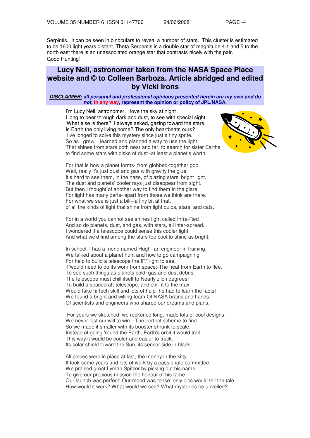Serpintis. It can be seen in binoculars to reveal a number of stars. This cluster is estimated to be 1600 light years distant. Theta Serpentis is a double star of magnitude 4.1 and 5 to the north east there is an unassociated orange star that contrasts nicely with the pair. Good Hunting!

# **Lucy Nell, astronomer taken from the NASA Space Place website and © to Colleen Barboza. Article abridged and edited by Vicki Irons**

#### **DISCLAIMER: all personal and professional opinions presented herein are my own and do not, in any way, represent the opinion or policy of JPL/NASA.**

I'm Lucy Nell, astronomer, I love the sky at night I long to peer through dark and dust, to see with special sight. 'What else is there?' I always asked, gazing toward the stars. Is Earth the only living home? The only heartbeats ours? I've longed to solve this mystery since just a tiny sprite. So as I grew, I learned and planned a way to use the light That shines from stars both near and far, to search for sister Earths to find some stars with disks of dust -at least a planet's worth.



For that is how a planet forms- from globbed-together goo. Well, really it's just dust and gas with gravity the glue. It's hard to see them, in the haze, of blazing stars' bright light. The dust and planets' cooler rays just disappear from sight. But then I thought of another way to find them in the glare. For light has many parts- apart from those we think are there. For what we see is just a bit—a tiny bit at that, of all the kinds of light that shine from light bulbs, stars, and cats.

For in a world you cannot see shines light called Infra-Red And so do planets, dust, and gas, with stars, all inter-spread. I wondered if a telescope could sense this cooler light. And what we'd find among the stars too cool to shine as bright.

In school, I had a friend named Hugh- an engineer in training. We talked about a planet hunt and how to go campaigning For help to build a telescope the IR\* light to see, T'would need to do its work from space;-The heat from Earth to flee. To see such things as planets cold, gas and dust debris, The telescope must chill itself to Nearly zilch degrees! To build a spacecraft-telescope, and chill it to the max Would take hi-tech skill and lots of help- he had to learn the facts! We found a bright and willing team Of NASA brains and hands, Of scientists and engineers who shared our dreams and plans.

For years we sketched, we reckoned long, made lots of cool designs. We never lost our will to win—The perfect scheme to find. So we made it smaller with its booster shrunk to scale. Instead of going 'round the Earth, Earth's orbit it would trail. This way it would be cooler and easier to track. Its solar shield toward the Sun, its sensor side in black.

All pieces were in place at last, the money in the kitty It took some years and lots of work by a passionate committee. We praised great Lyman Spitzer by picking out his name To give our precious mission the honour of his fame Our launch was perfect! Our mood was tense: only pics would tell the tale. How would it work? What would we see? What mysteries be unveiled?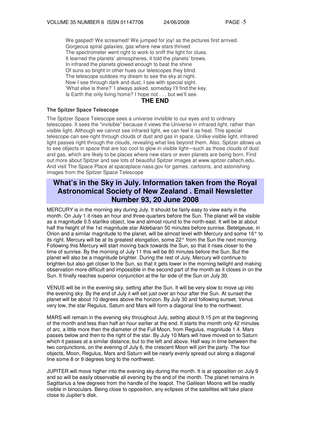We gasped! We screamed! We jumped for joy! as the pictures first arrived. Gorgeous spiral galaxies, gas where new stars thrived The spectrometer went right to work to sniff the light for clues. It learned the planets' atmospheres, it told the planets' brews. In infrared the planets glowed enough to beat the shine Of suns so bright in other hues our telescopes they blind. The telescope outdoes my dream to see the sky at night. Now I see through dark and dust, I see with special sight. 'What else is there?' I always asked, someday I'll find the key. Is Earth the only living home? I hope not . . . but we'll see.

#### **THE END**

#### **The Spitzer Space Telescope**

The Spitzer Space Telescope sees a universe invisible to our eyes and to ordinary telescopes. It sees the "invisible" because it views the Universe in infrared light, rather than visible light. Although we cannot see infrared light, we can feel it as heat. This special telescope can see right through clouds of dust and gas in space. Unlike visible light, infrared light passes right through the clouds, revealing what lies beyond them. Also, Spitzer allows us to see objects in space that are too cool to glow in visible light—such as those clouds of dust and gas, which are likely to be places where new stars or even planets are being born. Find out more about Spitzer and see lots of beautiful Spitzer images at www.spitzer.caltech.edu. And visit The Space Place at spaceplace.nasa.gov for games, cartoons, and astonishing images from the Spitzer Space Telescope

# **What's in the Sky in July. Information taken from the Royal Astronomical Society of New Zealand . Email Newsletter Number 93, 20 June 2008**

MERCURY is in the morning sky during July. It should be fairly easy to view early in the month. On July 1 it rises an hour and three-quarters before the Sun. The planet will be visible as a magnitude 0.5 starlike object, low and almost round to the north-east. It will be at about half the height of the 1st magnitude star Aldebaran 50 minutes before sunrise. Betelgeuse, in Orion and a similar magnitude to the planet, will be almost level with Mercury and some 16° to its right. Mercury will be at its greatest elongation, some 22° from the Sun the next morning. Following this Mercury will start moving back towards the Sun, so that it rises closer to the time of sunrise. By the morning of July 11 this will be 80 minutes before the Sun. But the planet will also be a magnitude brighter. During the rest of July, Mercury will continue to brighten but also get closer to the Sun, so that it gets lower in the morning twilight and making observation more difficult and impossible in the second part of the month as it closes in on the Sun. It finally reaches superior conjunction at the far side of the Sun on July 30.

VENUS will be in the evening sky, setting after the Sun. It will be very slow to move up into the evening sky. By the end of July it will set just over an hour after the Sun. At sunset the planet will be about 10 degrees above the horizon. By July 30 and following sunset, Venus very low, the star Regulus, Saturn and Mars will form a diagonal line to the northwest.

MARS will remain in the evening sky throughout July, setting about 9.15 pm at the beginning of the month and less than half an hour earlier at the end. It starts the month only 42 minutes of arc, a little more then the diameter of the Full Moon, from Regulus, magnitude 1.4. Mars passes below and then to the right of the star. By July 10 Mars will have moved on to Saturn which it passes at a similar distance, but to the left and above. Half way in time between the two conjunctions, on the evening of July 6, the crescent Moon will join the party. The four objects, Moon, Regulus, Mars and Saturn will be nearly evenly spread out along a diagonal line some 8 or 9 degrees long to the northwest.

JUPITER will move higher into the evening sky during the month. It is at opposition on July 9 and so will be easily observable all evening by the end of the month. The planet remains in Sagittarius a few degrees from the handle of the teapot. The Galilean Moons will be readily visible in binoculars. Being close to opposition, any eclipses of the satellites will take place close to Jupiter's disk.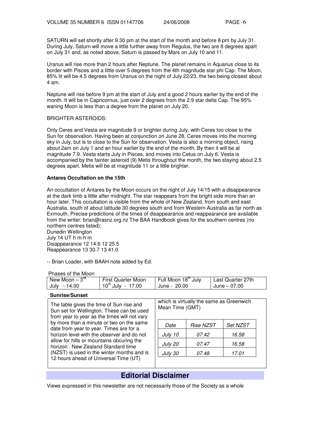SATURN will set shortly after 9.30 pm at the start of the month and before 8 pm by July 31. During July, Saturn will move a little further away from Regulus, the two are 8 degrees apart on July 31 and, as noted above, Saturn is passed by Mars on July 10 and 11.

Uranus will rise more than 2 hours after Neptune. The planet remains in Aquarius close to its border with Pisces and a little over 5 degrees from the 4th magnitude star phi Cap. The Moon, 85% lit will be 4.5 degrees from Uranus on the night of July 22/23, the two being closest about 4 am.

Neptune will rise before 9 pm at the start of July and a good 2 hours earlier by the end of the month. It will be in Capricornus, just over 2 degrees from the 2.9 star delta Cap. The 95% waning Moon is less than a degree from the planet on July 20.

#### BRIGHTER ASTEROIDS:

Only Ceres and Vesta are magnitude 9 or brighter during July, with Ceres too close to the Sun for observation. Having been at conjunction on June 28, Ceres moves into the morning sky in July, but is to close to the Sun for observation. Vesta is also a morning object, rising about 2am on July 1 and an hour earlier by the end of the month. By then it will be at magnitude 7.9. Vesta starts July in Pisces, and moves into Cetus on July 6. Vesta is accompanied by the fainter asteroid (9) Metis throughout the month, the two staying about 2.5 degrees apart. Metis will be at magnitude 11 or a little brighter.

#### **Antares Occultation on the 15th**

An occultation of Antares by the Moon occurs on the night of July 14/15 with a disappearance at the dark limb a little after midnight. The star reappears from the bright side more than an hour later. This occultation is visible from the whole of New Zealand, from south and east Australia, south of about latitude 30 degrees south and from Western Australia as far north as Exmouth. Precise predictions of the times of disappearance and reappearance are available from the writer: brian@rasnz.org.nz The BAA Handbook gives for the southern centres (no northern centres listed):

Dunedin Wellington July 14 UT h m h m Disappearance 12 14.6 12 25.5 Reappearance 13 30.7 13 41.0

-- Brian Loader, with BAAH note added by Ed.

#### Phases of the Moon

| New Moon $-3^{rd}$ | <b>First Quarter Moon</b> | Full Moon 18 <sup>th</sup> July | Last Quarter 27th |
|--------------------|---------------------------|---------------------------------|-------------------|
| - 14.00<br>July    | $10^{th}$ July - 17.00    | June - 20.00                    | June – 07.00      |
|                    |                           |                                 |                   |

#### **Sunrise/Sunset**

The table gives the time of Sun rise and Sun set for Wellington. These can be used from year to year as the times will not vary by more than a minute or two on the same date from year to year. Times are for a horizon level with the observer and do not allow for hills or mountains obcuring the horizon . New Zealand Standard time (NZST) is used in the winter months and is 12 hours ahead of Universal Time (UT)

| which is virtually the same as Greenwich<br>Mean Time (GMT) |          |  |  |  |  |  |
|-------------------------------------------------------------|----------|--|--|--|--|--|
| Rise NZST                                                   | Set NZST |  |  |  |  |  |
| <i>07.42</i>                                                | 16.58    |  |  |  |  |  |
| 07.47                                                       | 16.58    |  |  |  |  |  |
| 07.48                                                       | 17.01    |  |  |  |  |  |
|                                                             |          |  |  |  |  |  |

# **Editorial Disclaimer**

Views expressed in this newsletter are not necessarily those of the Society as a whole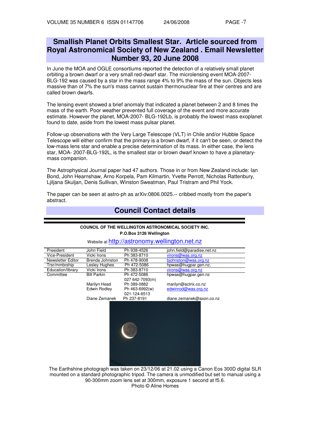# **Smallish Planet Orbits Smallest Star. Article sourced from Royal Astronomical Society of New Zealand . Email Newsletter Number 93, 20 June 2008**

In June the MOA and OGLE consortiums reported the detection of a relatively small planet orbiting a brown dwarf or a very small red-dwarf star. The microlensing event MOA-2007- BLG-192 was caused by a star in the mass range 4% to 9% the mass of the sun. Objects less massive than of 7% the sun's mass cannot sustain thermonuclear fire at their centres and are called brown dwarfs.

The lensing event showed a brief anomaly that indicated a planet between 2 and 8 times the mass of the earth. Poor weather prevented full coverage of the event and more accurate estimate. However the planet, MOA-2007- BLG-192Lb, is probably the lowest mass exoplanet found to date, aside from the lowest mass pulsar planet.

Follow-up observations with the Very Large Telescope (VLT) in Chile and/or Hubble Space Telescope will either confirm that the primary is a brown dwarf, if it can't be seen, or detect the low-mass lens star and enable a precise determination of its mass. In either case, the lens star, MOA- 2007-BLG-192L, is the smallest star or brown dwarf known to have a planetarymass companion.

The Astrophysical Journal paper had 47 authors. Those in or from New Zealand include: Ian Bond, John Hearnshaw, Arno Korpela, Pam Kilmartin, Yvette Perrott, Nicholas Rattenbury, Ljiljana Skuljan, Denis Sullivan, Winston Sweatman, Paul Tristram and Phil Yock.

The paper can be seen at astro-ph as arXiv:0806.0025.-- cribbed mostly from the paper's abstract.

**Council Contact details**

## **COUNCIL OF THE WELLINGTON ASTRONOMICAL SOCIETY INC. P.O.Box 3126 Wellington** Website at http://astronomy.wellington.net.nz President John Field Ph 938-4526 john.field@paradise.net.nz<br>Vice-President Vicki Irons Ph 383-8710 virons@was.org.nz Vice-President Vicki Irons Ph 383-8710 virons@was.org.nz<br>Newsletter Editor Brenda Johnston Ph 478-9008 biohnston@was.org Ph 478-9008 biohnston @was.org.nz<br>Ph 472-5086 biowas@hugpar.gen.nz Trsr/mmbrship Lesley Hughes Ph 472-5086 hpwas@hugpar.gen.nz,<br>Education/library Vicki Irons Ph 383-8710 virons@was.org.nz Education/library Vicki Irons Ph 383-8710 virons@was.org.nz<br>
Committee Bill Parkin Ph 472-5086 hpwas@hugpar.ger Ph 472-5086 027 642-7093(m) hpwas@hugpar.gen.nz Marilyn Head Ph 389-0882 marilyn@actrix.co.nz Edwin Rodley Diane Zemanek Ph 463-6992(w) 021-124-6513 Ph 237-8191 edwinrod@was.org.nz diane.zemanek@axon.co.nz

The Earthshine photograph was taken on 23/12/06 at 21.02 using a Canon Eos 300D digital SLR mounted on a standard photographic tripod. The camera is unmodified but set to manual using a 90-300mm zoom lens set at 300mm, exposure 1 second at f5.6. Photo © Aline Homes